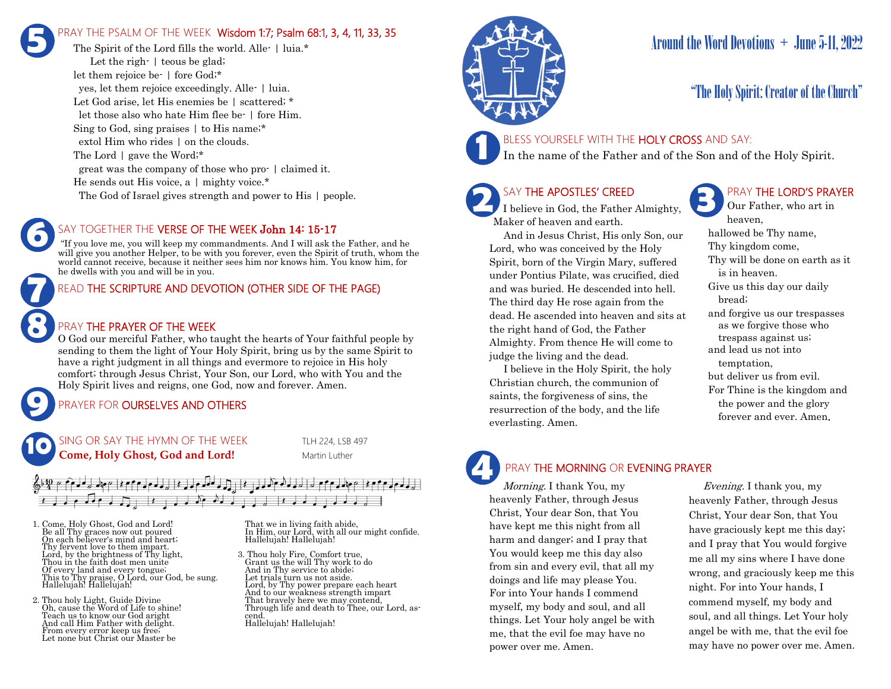# PRAY THE PSALM OF THE WEEK Wisdom 1:7; Psalm 68:1, 3, 4, 11, 33, 35 **5**

The Spirit of the Lord fills the world. Alle- | luia.\* Let the righ- | teous be glad; let them rejoice be- | fore God;\* yes, let them rejoice exceedingly. Alle- | luia. Let God arise, let His enemies be | scattered; \* let those also who hate Him flee be- | fore Him. Sing to God, sing praises | to His name;\* extol Him who rides  $\vert$  on the clouds. The Lord | gave the Word;\* great was the company of those who pro- | claimed it. He sends out His voice, a  $\mid$  mighty voice.\* The God of Israel gives strength and power to His | people.

### SAY TOGETHER THE VERSE OF THE WEEK John 14: 15-17

"If you love me, you will keep my commandments. And I will ask the Father, and he will give you another Helper, to be with you forever, even the Spirit of truth, whom the world cannot receive, because it neither sees him nor knows him. You know him, for he dwells with you and will be in you.

## READ THE SCRIPTURE AND DEVOTION (OTHER SIDE OF THE PAGE)

### PRAY THE PRAYER OF THE WEEK

**9**

**8**

**7**

**6**

O God our merciful Father, who taught the hearts of Your faithful people by sending to them the light of Your Holy Spirit, bring us by the same Spirit to have a right judgment in all things and evermore to rejoice in His holy comfort; through Jesus Christ, Your Son, our Lord, who with You and the Holy Spirit lives and reigns, one God, now and forever. Amen.

## PRAYER FOR **OURSELVES AND OTHERS**





- 1. Come, Holy Ghost, God and Lord! Be all Thy graces now out poured On each believer's mind and heart; Thy fervent love to them impart. Lord, by the brightness of Thy light, Thou in the faith dost men unite Of every land and every tongue; This to Thy praise, O Lord, our God, be sung. Hallelujah! Hallelujah!
- 2. Thou holy Light, Guide Divine Oh, cause the Word of Life to shine! Teach us to know our God aright And call Him Father with delight. From every error keep us free; Let none but Christ our Master be

That we in living faith abide, In Him, our Lord, with all our might confide. Hallelujah! Hallelujah!

3. Thou holy Fire, Comfort true, Grant us the will Thy work to do And in Thy service to abide; Let trials turn us not aside. Lord, by Thy power prepare each heart And to our weakness strength impart That bravely here we may contend, Through life and death to Thee, our Lord, ascend. Hallelujah! Hallelujah!



# Around the Word Devotions  $+$  June 5-11, 2022

# "The Holy Spirit: Creator of the Church"

### BLESS YOURSELF WITH THE HOLY CROSS AND SAY:

In the name of the Father and of the Son and of the Holy Spirit.

#### SAY THE APOSTLES' CREED

I believe in God, the Father Almighty, Maker of heaven and earth.

 And in Jesus Christ, His only Son, our Lord, who was conceived by the Holy Spirit, born of the Virgin Mary, suffered under Pontius Pilate, was crucified, died and was buried. He descended into hell. The third day He rose again from the dead. He ascended into heaven and sits at the right hand of God, the Father Almighty. From thence He will come to judge the living and the dead.

 I believe in the Holy Spirit, the holy Christian church, the communion of saints, the forgiveness of sins, the resurrection of the body, and the life everlasting. Amen.

## PRAY THE LORD'S PRAYER

Our Father, who art in heaven, hallowed be Thy name, Thy kingdom come, Thy will be done on earth as it is in heaven. Give us this day our daily bread; and forgive us our trespasses as we forgive those who trespass against us; and lead us not into temptation, but deliver us from evil. For Thine is the kingdom and the power and the glory forever and ever. Amen.

# PRAY THE MORNING OR EVENING PRAYER

Morning. I thank You, my heavenly Father, through Jesus Christ, Your dear Son, that You have kept me this night from all harm and danger; and I pray that You would keep me this day also from sin and every evil, that all my doings and life may please You. For into Your hands I commend myself, my body and soul, and all things. Let Your holy angel be with me, that the evil foe may have no power over me. Amen. **4**

 Evening. I thank you, my heavenly Father, through Jesus Christ, Your dear Son, that You have graciously kept me this day; and I pray that You would forgive me all my sins where I have done wrong, and graciously keep me this night. For into Your hands, I commend myself, my body and soul, and all things. Let Your holy angel be with me, that the evil foe may have no power over me. Amen.